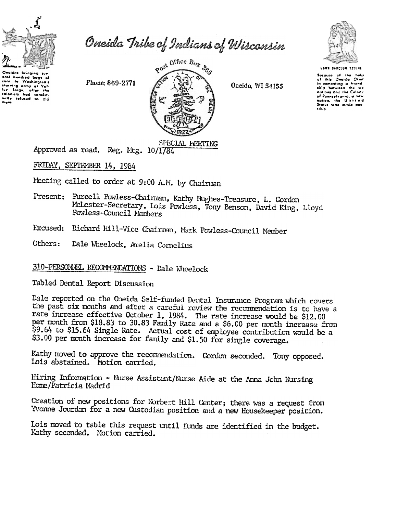

Oneida Tribe of Indians of Wisconsin

Onoidas bringing sus hundred bage of corn - 90 Washington's sterving army at Value antly refused to ald

Phone: 869-2771



Oneida, WI 54155



UGWA BANDLUN TATLAE

Soccuso of the help cause or me new<br>This Oneida Chief ٥1 in compating a friend.<br>
ship between the six nations and the Color of Panneylvania, a nev salion, she Unit Status was made pos sible

SPECIAL MEETING Approved as read. Reg. Mtg. 10/1784

FRIDAY, SEPIEMBER 14, 1984

Meeting called to order at 9:00 A.M. by Chairman.

- Present: Purcell Powless-Chaiman, Kathy Hughes-Treasure, L. Cordon McLester-Secretary, Lois Powless, Tony Benson, David King, Lloyd Powless-Council Members
- Excused: Richard Hill-Vice Chairman, Mark Powless-Council Member
- Others: Dale Wheelock, Amelia Cornelius

## 310-PERSONNEL RECOMMENDATIONS - Dale Wheelock

Tabled Dental Report Discussion

Dale reported on the Oneida Self-funded Dental Insurance Program which covers the past six months and after a careful review the recommendation is to have a rate increase effective October 1, 1984. The rate increase would be \$12.00 per month from \$18.83 to 30.83 Family Rate and a \$6.00 per month increase from \$9.64 to \$15.64 Single Rate. Actual cost of employee contribution would be a \$3.00 per nonth increase for family and \$1.50 for single coverage.

Kathy moved to approve the recommendation. Gordon seconded. Tony opposed. Lois abstained. Motion carried.

Hiring Information - Nurse Assistant/Nurse Aide at the Anna John Nursing Home/Patricia Madrid

Creation of new positions for Norbert Hill Center; there was a request from Yvonne Jourdan for a new Custodian position and a new Housekeeper position.

Lois moved to table this request until funds are identified in the budget. Kathy seconded. Motion carried.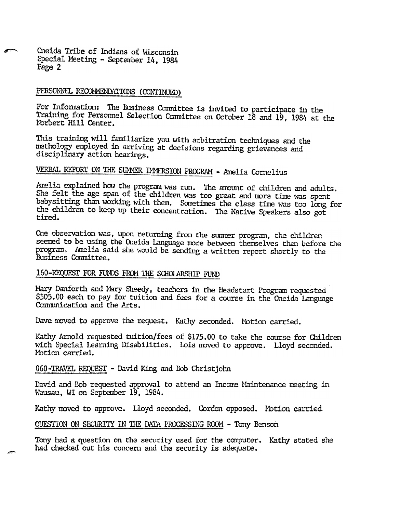Oneida Tribe of Indians of Wisconsin Special Meeting - September 14, 1984 Page 2

### PERSONNEL RECOMMENDATIONS (CONTINUED)

For Information: The Business Committee is invited to participate in the Training for Personnel Selection Committee on October 18 and 19, 1984 at the Norbert Hill Center.

This training will familiarize you with arbitration techniques and the methology employed in arriving at decisions regarding grievances and disciplinary action hearings.

# VERBAL REPORT ON THE SUMMER IMMERSION PROGRAM - Amelia Cornelius

Amelia explained how the program was rum. The amount of children and adults. She felt the age span of the children was too great and more time was spent babysitting than working with them. Sometimes the class time was too long for the children to keep up their concentration. The Native Speakers also got tired.

One observation was, upon returning from the summer program, the children seemed to be using the Oreida language more between themselves than before the program. Amelia said she would be sending a written report shortly to the Business Committee.

#### 160-REQUEST FOR FUNDS FROM THE SCHOLARSHIP FUND

Mary Danforth and Mary Sheedy, teachers in the Headstart Program requested \$505.00 each to pay for tuition and fees for a course in the Oneida Language Communication and the Arts.

Dave moved to approve the request. Kathy seconded. Motion carried.

Kathy Arnold requested tuition/fees of \$175.00 to take the course for Children with Special Learning Disabilities. Lois moved to approve. Lloyd seconded. Motion carried.

060-TRAVEL REQUEST - David King and Bob Christjohn

.~

David and Bob requested approval to attend an Income Maintenance meeting in Wausau, WI on September 19, 1984.

Kathy moved to approve. Lloyd seconded. Gordon opposed. Motion carried,

#### QUESTION ON SECURITY IN THE DATA PROCESSING ROOM - Tony Benson

Tony had a question on the security used for the computer. Kathy stated she had checked out his concern and the security is adequate.